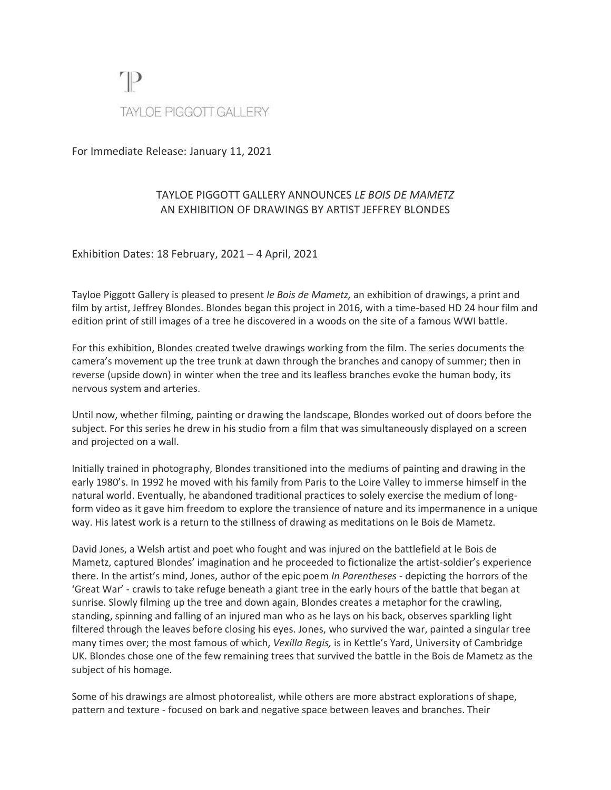

For Immediate Release: January 11, 2021

## TAYLOE PIGGOTT GALLERY ANNOUNCES *LE BOIS DE MAMETZ* AN EXHIBITION OF DRAWINGS BY ARTIST JEFFREY BLONDES

Exhibition Dates: 18 February, 2021 – 4 April, 2021

Tayloe Piggott Gallery is pleased to present *le Bois de Mametz,* an exhibition of drawings, a print and film by artist, Jeffrey Blondes. Blondes began this project in 2016, with a time-based HD 24 hour film and edition print of still images of a tree he discovered in a woods on the site of a famous WWI battle.

For this exhibition, Blondes created twelve drawings working from the film. The series documents the camera's movement up the tree trunk at dawn through the branches and canopy of summer; then in reverse (upside down) in winter when the tree and its leafless branches evoke the human body, its nervous system and arteries.

Until now, whether filming, painting or drawing the landscape, Blondes worked out of doors before the subject. For this series he drew in his studio from a film that was simultaneously displayed on a screen and projected on a wall.

Initially trained in photography, Blondes transitioned into the mediums of painting and drawing in the early 1980's. In 1992 he moved with his family from Paris to the Loire Valley to immerse himself in the natural world. Eventually, he abandoned traditional practices to solely exercise the medium of longform video as it gave him freedom to explore the transience of nature and its impermanence in a unique way. His latest work is a return to the stillness of drawing as meditations on le Bois de Mametz.

David Jones, a Welsh artist and poet who fought and was injured on the battlefield at le Bois de Mametz, captured Blondes' imagination and he proceeded to fictionalize the artist-soldier's experience there. In the artist's mind, Jones, author of the epic poem *In Parentheses -* depicting the horrors of the 'Great War' - crawls to take refuge beneath a giant tree in the early hours of the battle that began at sunrise. Slowly filming up the tree and down again, Blondes creates a metaphor for the crawling, standing, spinning and falling of an injured man who as he lays on his back, observes sparkling light filtered through the leaves before closing his eyes. Jones, who survived the war, painted a singular tree many times over; the most famous of which, *Vexilla Regis,* is in Kettle's Yard, University of Cambridge UK. Blondes chose one of the few remaining trees that survived the battle in the Bois de Mametz as the subject of his homage.

Some of his drawings are almost photorealist, while others are more abstract explorations of shape, pattern and texture - focused on bark and negative space between leaves and branches. Their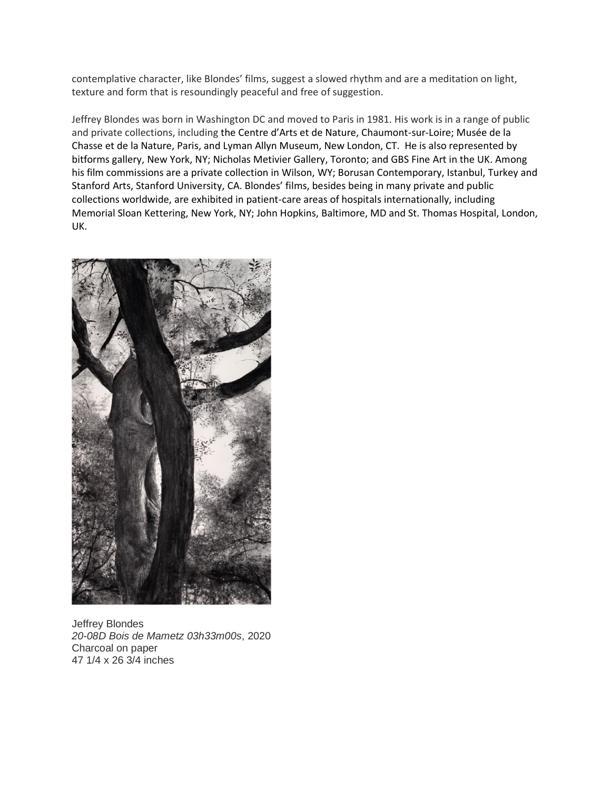contemplative character, like Blondes' films, suggest a slowed rhythm and are a meditation on light, texture and form that is resoundingly peaceful and free of suggestion.

Jeffrey Blondes was born in Washington DC and moved to Paris in 1981. His work is in a range of public and private collections, including the Centre d'Arts et de Nature, Chaumont-sur-Loire; Musée de la Chasse et de la Nature, Paris, and Lyman Allyn Museum, New London, CT. He is also represented by bitforms gallery, New York, NY; Nicholas Metivier Gallery, Toronto; and GBS Fine Art in the UK. Among his film commissions are a private collection in Wilson, WY; Borusan Contemporary, Istanbul, Turkey and Stanford Arts, Stanford University, CA. Blondes' films, besides being in many private and public collections worldwide, are exhibited in patient-care areas of hospitals internationally, including Memorial Sloan Kettering, New York, NY; John Hopkins, Baltimore, MD and St. Thomas Hospital, London, UK.



Jeffrey Blondes *20-08D Bois de Mametz 03h33m00s*, 2020 Charcoal on paper 47 1/4 x 26 3/4 inches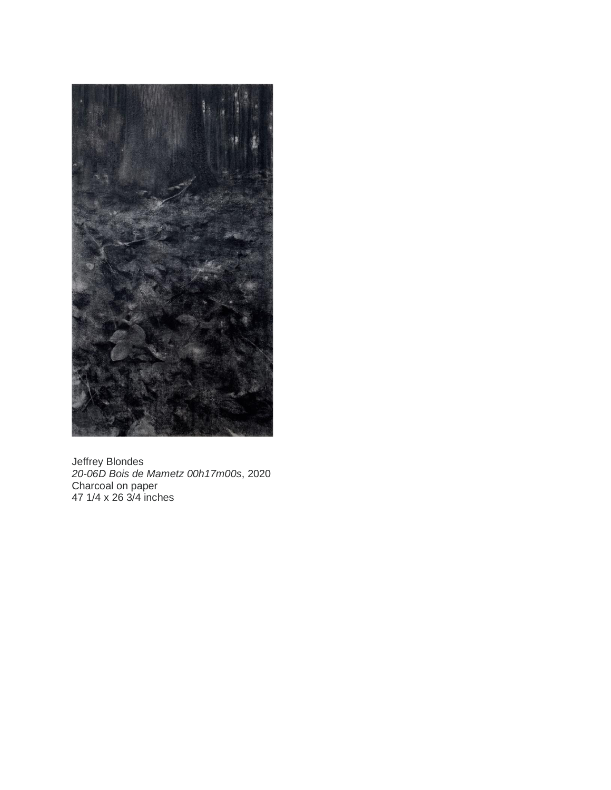

Jeffrey Blondes *20-06D Bois de Mametz 00h17m00s*, 2020 Charcoal on paper 47 1/4 x 26 3/4 inches